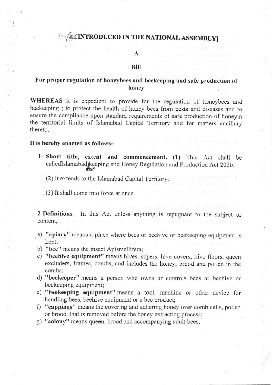# **ALSINTRODUCED IN THE NATIONAL ASSEMBLY**

### Bill

## For proper regulation of honeybees and beekeeping and safe production of honey

WHEREAS it is expedient to provide for the regulation of honeybees and beekeeping; to protect the health of honey bees from pests and diseases and to ensure the compliance upon standard requirements of safe production of honeyin the territorial limits of Islamabad Capital Territory and for matters ancillary thereto.

### It is hereby enacted as follows:-

1- Short title, extent and commencement. (1) This Act shall be calledIslamabad keeping and Honey Regulation and Production Act 2021.

(2) It extends to the Islamabad Capital Territory.

(3) It shall come into force at once.

2-Definitions. In this Act unless anything is repugnant to the subject or content,

- a) "apiary" means a place where bees or beehive or beekeeping equipment is kept;
- b) "bee" means the insect Apismellifera;
- c) "beehive equipment" means hives, supers, hive covers, hive floors, queen excluders, frames, combs, and includes the honey, brood and pollen in the combs:
- d) "beekeeper" means a person who owns or controls bees or beehive or beekeeping equipment;
- e) "beekeeping equipment" means a tool, machine or other device for handling bees, beehive equipment or a bee product;
- f) "cappings" means the covering and adhering honey over comb cells, pollen or brood, that is removed before the honey extracting process;
- g) "colony" means queen, brood and accompanying adult bees;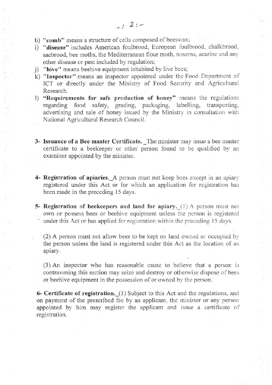- h) "comb" means a structure of cells composed of beeswax;
- i) "disease" includes American foulbrood, European foulbrood, chalkbrood, sacbrood, bee moths, the Mediterranean flour moth, nosema, acarine and any other disease or pest included by regulation;
- j) "hive" means beehive equipment inhabited by live bees;
- k) "Inspector" means an inspector appointed under the Food Department of ICT or directly under the Ministry of Food Security and Agricultural Research.
- l) "Requirements for safe production of honey" means the regulations regarding food safety, grading, packaging, labelling, transporting, advertising and sale of honey issued by the Ministry in consultation with National Agricultural Research Council.
- 3- Issuance of a Bee master Certificate. The minister may issue a bee master certificate to a beekeeper or other person found to be qualified by an examiner appointed by the minister.
- 4- Registration of apiaries. A person must not keep bees except in an apiary registered under this Act or for which an application for registration has been made in the preceding 15 days.
- 5- Registration of beekeepers and land for apiary. (1) A person must not own or possess bees or beehive equipment unless the person is registered under this Act or has applied for registration within the preceding 15 days.

 $(2)$  A person must not allow bees to be kept on land owned or occupied by the person unless the land is registered under this Act as the location of an apiary.

(3)An inspector who has reasonable causc to believc that a pcrson is contravening this section may seize and destroy or otherwise dispose of bees or beehive equipment in the possession of or owned by the person.

6- Certificate of registration. (1) Subject to this Act and the regulations, and on payment of the prescribed fee by an applicant, the minister or any person appointed by him may register the applicant and issue a certificate of registration.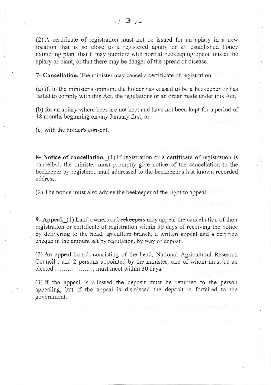$(2)$  A certificate of registration must not be issued for an apiary in a new location that is so close to a registered apiary or an cstablished honcy extracting plant that it may interfere with normal beekeeping operations at the apiary or plant, or that there may be danger of the spread of diseasc.

7- Cancellation. The minister may cancel a certificate of registration

(a) if, in the minister's opinion, the holder has ceased to be a beekecpcr or has failed to comply with this Act, the regulations or an order made under this Act,

(b) for an apiary where bees are not kept and have not been kept for a period of l8 months beginning on ary January first, or

(c) with the holder's consent.

8- Notice of cancellation. (1) If registration or a certificate of registration is cancelled, the minister must promptly give notice of the cancellation to the beekeeper by registered mail addressed to the beekeeper's Iast known recorded address.

 $(2)$  The notice must also advise the beekeeper of the right to appeal.

**9- Appeal.** (1) Land owners or beekeepers may appeal the cancellation of their registration or certificate of registration within 30 days of receiving the notice by delivering to the head, apiculture branch, a written appeal and a certified cheque in the amount set by regulation, by way of deposit.

(2) An appeal board, consisting of the head, National Agricultural Research Council , and 2 persons appointed by the minister, one of whom must be an elected ................, must meet within 30 days.

(3) If the appeal is allowed the deposit must be retumed to the person appealing, but if the appeal is dismissed the deposit is forfeited to the govemment.